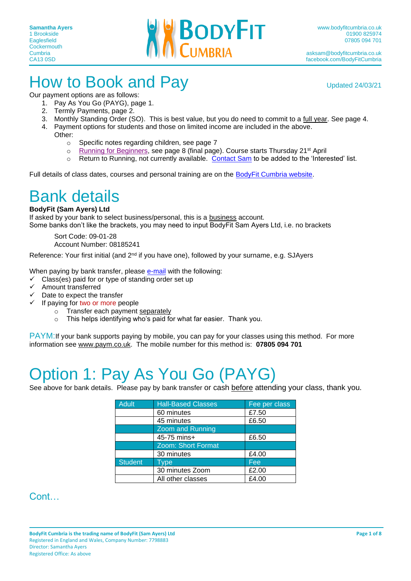

## How to Book and Pay Updated 24/03/21

Our payment options are as follows: 1. Pay As You Go (PAYG), page 1.

- 2. Termly Payments, page 2.
- 
- 3. Monthly Standing Order (SO). This is best value, but you do need to commit to a full year. See page 4.
- 4. Payment options for students and those on limited income are included in the above. Other:
	- o Specific notes regarding children, see page 7
	- $\circ$  [Running for Beginners,](http://www.bodyfitcumbria.co.uk/whatson/2022-04-21#target-day) see page 8 (final page). Course starts Thursday 21<sup>st</sup> April
	- o Return to Running, not currently available. [Contact Sam](mailto:asksam@bodyfitcumbria.co.uk?subject=Running%20for%20Beginners) to be added to the 'Interested' list.

Full details of class dates, courses and personal training are on the [BodyFit Cumbria website.](http://www.bodyfitcumbria.co.uk/)

### Bank details

#### **BodyFit (Sam Ayers) Ltd**

If asked by your bank to select business/personal, this is a business account. Some banks don't like the brackets, you may need to input BodyFit Sam Ayers Ltd, i.e. no brackets

Sort Code: 09-01-28 Account Number: 08185241

Reference: Your first initial (and 2<sup>nd</sup> if you have one), followed by your surname, e.g. SJAyers

When paying by bank transfer, please [e-mail](mailto:asksam@bodyfitcumbria.co.uk) with the following:

- $\checkmark$  Class(es) paid for or type of standing order set up
- ✓ Amount transferred
- $\checkmark$  Date to expect the transfer
- ✓ If paying for two or more people
	- o Transfer each payment separately
	- o This helps identifying who's paid for what far easier. Thank you.

PAYM: If your bank supports paying by mobile, you can pay for your classes using this method. For more information see [www.paym.co.uk.](http://www.paym.co.uk/) The mobile number for this method is: **07805 094 701**

# Option 1: Pay As You Go (PAYG)

See above for bank details. Please pay by bank transfer or cash before attending your class, thank you.

| <b>Adult</b>   | <b>Hall-Based Classes</b><br>Fee per class |       |
|----------------|--------------------------------------------|-------|
|                | 60 minutes                                 | £7.50 |
|                | 45 minutes                                 | £6.50 |
|                | <b>Zoom and Running</b>                    |       |
|                | 45-75 mins+                                | £6.50 |
|                | <b>Zoom: Short Format</b>                  |       |
|                | 30 minutes                                 | £4.00 |
| <b>Student</b> | Type                                       | Fee   |
|                | 30 minutes Zoom                            | £2.00 |
|                | All other classes                          | £4.00 |

#### Cont…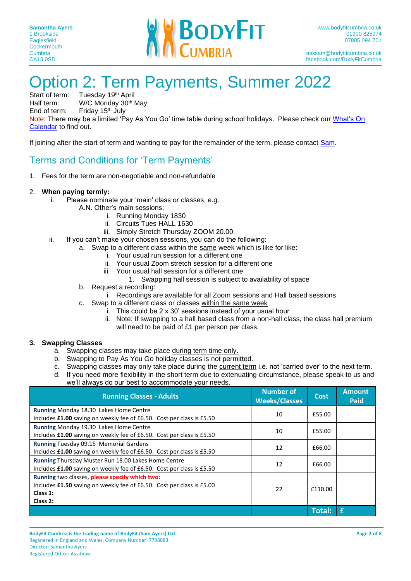

# Option 2: Term Payments, Summer 2022<br>Start of term: Tuesday 19th April

Start of term: Tuesday 19<sup>th</sup> April<br>Half term: W/C Monday 30<sup>th</sup> I

Half term: W/C Monday 30<sup>th</sup> May<br>Fnd of term: Friday 15<sup>th</sup> July Friday 15th July

Note: There may be a limited 'Pay As You Go' time table during school holidays. Please check our [What's On](http://www.bodyfitcumbria.co.uk/whatson#target-day) 

[Calendar](http://www.bodyfitcumbria.co.uk/whatson#target-day) to find out.

If joining after the start of term and wanting to pay for the remainder of the term, please contact [Sam.](mailto:asksam@bodyfitcumbria.co.uk?subject=Payment%20for%20remainder%20of%20term.%20)

#### Terms and Conditions for 'Term Payments'

1. Fees for the term are non-negotiable and non-refundable

#### 2. **When paying termly:**

- i. Please nominate your 'main' class or classes, e.g.
	- A.N. Other's main sessions:
		- i. Running Monday 1830
		- ii. Circuits Tues HALL 1630
		- iii. Simply Stretch Thursday ZOOM 20.00
- ii. If you can't make your chosen sessions, you can do the following:
	- a. Swap to a different class within the same week which is like for like:
		- i. Your usual run session for a different one
		- ii. Your usual Zoom stretch session for a different one
		- iii. Your usual hall session for a different one
			- 1. Swapping hall session is subject to availability of space
	- b. Request a recording:
		- i. Recordings are available for all Zoom sessions and Hall based sessions
	- c. Swap to a different class or classes within the same week
		- i. This could be 2 x 30' sessions instead of your usual hour
		- ii. Note: If swapping to a hall based class from a non-hall class, the class hall premium will need to be paid of £1 per person per class.

#### **3. Swapping Classes**

- a. Swapping classes may take place during term time only.
- b. Swapping to Pay As You Go holiday classes is not permitted.
- c. Swapping classes may only take place during the current term i.e. not 'carried over' to the next term.
- d. If you need more flexibility in the short term due to extenuating circumstance, please speak to us and we'll always do our best to accommodate your needs.

| <b>Running Classes - Adults</b>                                                                                                                 | <b>Number of</b><br><b>Weeks/Classes</b> | <b>Cost</b>   | <b>Amount</b><br>Paid |
|-------------------------------------------------------------------------------------------------------------------------------------------------|------------------------------------------|---------------|-----------------------|
| Running Monday 18.30 Lakes Home Centre<br>Includes £1.00 saving on weekly fee of £6.50. Cost per class is £5.50                                 | 10                                       | £55.00        |                       |
| Running Monday 19.30 Lakes Home Centre<br>Includes £1.00 saving on weekly fee of £6.50. Cost per class is £5.50                                 | 10                                       | £55.00        |                       |
| <b>Running Tuesday 09.15 Memorial Gardens</b><br>Includes £1.00 saving on weekly fee of £6.50. Cost per class is £5.50                          | 12                                       | £66.00        |                       |
| Running Thursday Muster Run 18.00 Lakes Home Centre<br>Includes £1.00 saving on weekly fee of £6.50. Cost per class is £5.50                    | 12                                       | £66.00        |                       |
| Running two classes, please specify which two:<br>Includes £1.50 saving on weekly fee of £6.50. Cost per class is £5.00<br>Class 1:<br>Class 2: | 22                                       | £110.00       |                       |
|                                                                                                                                                 |                                          | <b>Total:</b> | f                     |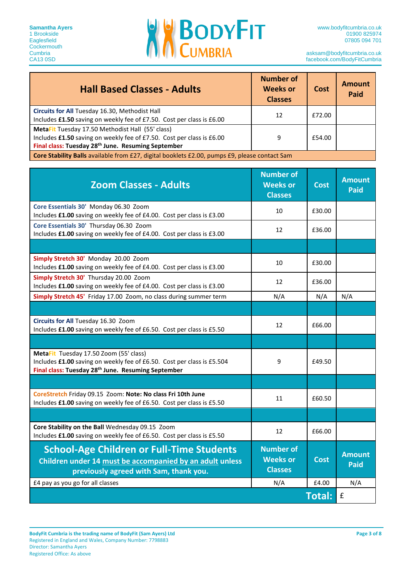

| <b>Hall Based Classes - Adults</b>                                                                                                                                                          | Number of<br><b>Weeks or</b><br><b>Classes</b> | Cost   | <b>Amount</b><br>Paid |
|---------------------------------------------------------------------------------------------------------------------------------------------------------------------------------------------|------------------------------------------------|--------|-----------------------|
| Circuits for All Tuesday 16.30, Methodist Hall<br>Includes £1.50 saving on weekly fee of £7.50. Cost per class is £6.00                                                                     | 12                                             | £72.00 |                       |
| MetaFit Tuesday 17.50 Methodist Hall (55' class)<br>Includes £1.50 saving on weekly fee of £7.50. Cost per class is £6.00<br>Final class: Tuesday 28 <sup>th</sup> June. Resuming September | 9                                              | £54.00 |                       |
| Core Stability Balls available from £27, digital booklets £2.00, pumps £9, please contact Sam                                                                                               |                                                |        |                       |

| <b>Zoom Classes - Adults</b>                                                                                                                                                       | <b>Number of</b><br><b>Weeks or</b><br><b>Classes</b> | <b>Cost</b>   | <b>Amount</b><br><b>Paid</b> |
|------------------------------------------------------------------------------------------------------------------------------------------------------------------------------------|-------------------------------------------------------|---------------|------------------------------|
| Core Essentials 30' Monday 06.30 Zoom<br>Includes £1.00 saving on weekly fee of £4.00. Cost per class is £3.00                                                                     | 10                                                    | £30.00        |                              |
| Core Essentials 30' Thursday 06.30 Zoom<br>Includes £1.00 saving on weekly fee of £4.00. Cost per class is £3.00                                                                   | 12                                                    | £36.00        |                              |
|                                                                                                                                                                                    |                                                       |               |                              |
| Simply Stretch 30' Monday 20.00 Zoom<br>Includes £1.00 saving on weekly fee of £4.00. Cost per class is £3.00                                                                      | 10                                                    | £30.00        |                              |
| Simply Stretch 30' Thursday 20.00 Zoom<br>Includes £1.00 saving on weekly fee of £4.00. Cost per class is £3.00                                                                    | 12                                                    | £36.00        |                              |
| Simply Stretch 45' Friday 17.00 Zoom, no class during summer term                                                                                                                  | N/A                                                   | N/A           | N/A                          |
|                                                                                                                                                                                    |                                                       |               |                              |
| Circuits for All Tuesday 16.30 Zoom<br>Includes £1.00 saving on weekly fee of £6.50. Cost per class is £5.50                                                                       | 12                                                    | £66.00        |                              |
|                                                                                                                                                                                    |                                                       |               |                              |
| MetaFit Tuesday 17.50 Zoom (55' class)<br>Includes £1.00 saving on weekly fee of £6.50. Cost per class is £5.504<br>Final class: Tuesday 28 <sup>th</sup> June. Resuming September | 9                                                     | £49.50        |                              |
|                                                                                                                                                                                    |                                                       |               |                              |
| CoreStretch Friday 09.15 Zoom: Note: No class Fri 10th June<br>Includes £1.00 saving on weekly fee of £6.50. Cost per class is £5.50                                               | 11                                                    | £60.50        |                              |
|                                                                                                                                                                                    |                                                       |               |                              |
| Core Stability on the Ball Wednesday 09.15 Zoom<br>Includes £1.00 saving on weekly fee of £6.50. Cost per class is £5.50                                                           | 12                                                    | £66.00        |                              |
| <b>School-Age Children or Full-Time Students</b><br>Children under 14 must be accompanied by an adult unless<br>previously agreed with Sam, thank you.                             | <b>Number of</b><br><b>Weeks or</b><br><b>Classes</b> | <b>Cost</b>   | <b>Amount</b><br>Paid        |
| £4 pay as you go for all classes                                                                                                                                                   | N/A                                                   | £4.00         | N/A                          |
|                                                                                                                                                                                    |                                                       | <b>Total:</b> | $\pmb{\mathsf{f}}$           |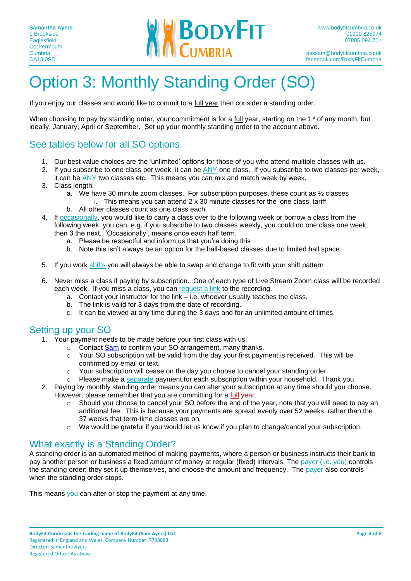

# Option 3: Monthly Standing Order (SO)

If you enjoy our classes and would like to commit to a full year then consider a standing order.

When choosing to pay by standing order, your commitment is for a full year, starting on the 1<sup>st</sup> of any month, but ideally, January, April or September. Set up your monthly standing order to the account above.

#### See tables below for all SO options.

- 1. Our best value choices are the 'unlimited' options for those of you who attend multiple classes with us.
- 2. If you subscribe to one class per week, it can be ANY one class. If you subscribe to two classes per week, it can be ANY two classes etc. This means you can mix and match week by week.
- 3. Class length:
	- a. We have 30 minute zoom classes. For subscription purposes, these count as  $\frac{1}{2}$  classes
		- i. This means you can attend 2 x 30 minute classes for the 'one class' tariff.
	- b. All other classes count as one class each.
- 4. If occasionally, you would like to carry a class over to the following week or borrow a class from the following week, you can, e.g. if you subscribe to two classes weekly, you could do one class one week, then 3 the next. 'Occasionally', means once each half term.
	- a. Please be respectful and inform us that you're doing this
	- b. Note this isn't always be an option for the hall-based classes due to limited hall space.
- 5. If you work shifts you will always be able to swap and change to fit with your shift pattern
- 6. Never miss a class if paying by subscription. One of each type of Live Stream Zoom class will be recorded each week. If you miss a class, you can request a link to the recording.
	- a. Contact your instructor for the link i.e. whoever usually teaches the class.
	- b. The link is valid for 3 days from the date of recording.
	- c. It can be viewed at any time during the 3 days and for an unlimited amount of times.

#### Setting up your SO

- 1. Your payment needs to be made before your first class with us.
	- o Contact [Sam](mailto:asksam@bodyfitcumbria.co.uk?subject=Standing%20Order%20Set%20Up) to confirm your SO arrangement, many thanks.
	- o Your SO subscription will be valid from the day your first payment is received. This will be confirmed by email or text.
	- $\circ$  Your subscription will cease on the day you choose to cancel your standing order.
	- $\circ$  Please make a separate payment for each subscription within your household. Thank you.
- 2. Paying by monthly standing order means you can alter your subscription at any time should you choose. However, please remember that you are committing for a full year.
	- o Should you choose to cancel your SO before the end of the year, note that you will need to pay an additional fee. This is because your payments are spread evenly over 52 weeks, rather than the 37 weeks that term-time classes are on.
	- $\circ$  We would be grateful if you would let us know if you plan to change/cancel your subscription.

#### What exactly is a Standing Order?

A standing order is an automated method of making payments, where a person or business instructs their bank to pay another person or business a fixed amount of money at regular (fixed) intervals. The payer (i.e. you) controls the standing order; they set it up themselves, and choose the amount and frequency. The payer also controls when the standing order stops.

This means you can alter or stop the payment at any time.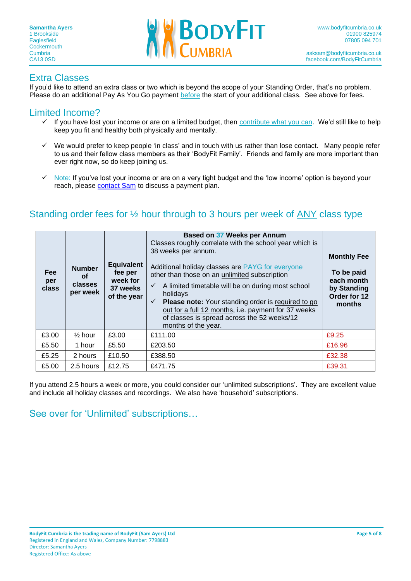

#### Extra Classes

If you'd like to attend an extra class or two which is beyond the scope of your Standing Order, that's no problem. Please do an additional Pay As You Go payment before the start of your additional class. See above for fees.

#### Limited Income?

- ✓ If you have lost your income or are on a limited budget, then contribute what you can. We'd still like to help keep you fit and healthy both physically and mentally.
- ✓ We would prefer to keep people 'in class' and in touch with us rather than lose contact. Many people refer to us and their fellow class members as their 'BodyFit Family'. Friends and family are more important than ever right now, so do keep joining us.
- ✓ Note: If you've lost your income or are on a very tight budget and the 'low income' option is beyond your reach, please [contact Sam](mailto:asksam@bodyfitcumbria.co.uk?subject=Payment%20plan%20-%20reduced%20income.) to discuss a payment plan.

#### Standing order fees for ½ hour through to 3 hours per week of ANY class type

| <b>Fee</b><br>per<br>class | <b>Number</b><br>οf<br>classes<br>per week | <b>Equivalent</b><br>fee per<br>week for<br>37 weeks<br>of the year | Based on 37 Weeks per Annum<br>Classes roughly correlate with the school year which is<br>38 weeks per annum.<br>Additional holiday classes are PAYG for everyone<br>other than those on an unlimited subscription<br>A limited timetable will be on during most school<br>holidays<br><b>Please note:</b> Your standing order is required to go<br>$\checkmark$<br>out for a full 12 months, i.e. payment for 37 weeks<br>of classes is spread across the 52 weeks/12<br>months of the year. | <b>Monthly Fee</b><br>To be paid<br>each month<br>by Standing<br>Order for 12<br>months |
|----------------------------|--------------------------------------------|---------------------------------------------------------------------|-----------------------------------------------------------------------------------------------------------------------------------------------------------------------------------------------------------------------------------------------------------------------------------------------------------------------------------------------------------------------------------------------------------------------------------------------------------------------------------------------|-----------------------------------------------------------------------------------------|
| £3.00                      | $\frac{1}{2}$ hour                         | £3.00                                                               | £111.00                                                                                                                                                                                                                                                                                                                                                                                                                                                                                       | £9.25                                                                                   |
| £5.50                      | 1 hour                                     | £5.50                                                               | £203.50                                                                                                                                                                                                                                                                                                                                                                                                                                                                                       | £16.96                                                                                  |
| £5.25                      | 2 hours                                    | £10.50                                                              | £388.50                                                                                                                                                                                                                                                                                                                                                                                                                                                                                       | £32.38                                                                                  |
| £5.00                      | 2.5 hours                                  | £12.75                                                              | £471.75                                                                                                                                                                                                                                                                                                                                                                                                                                                                                       | £39.31                                                                                  |

If you attend 2.5 hours a week or more, you could consider our 'unlimited subscriptions'. They are excellent value and include all holiday classes and recordings. We also have 'household' subscriptions.

#### See over for 'Unlimited' subscriptions…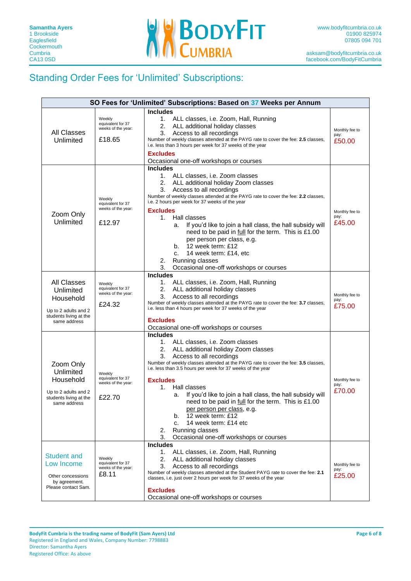

#### Standing Order Fees for 'Unlimited' Subscriptions:

| SO Fees for 'Unlimited' Subscriptions: Based on 37 Weeks per Annum                                             |                                                             |                                                                                                                                                                                                                                                                                                                                                                                                                                                                                                                                                                                                                             |                                  |
|----------------------------------------------------------------------------------------------------------------|-------------------------------------------------------------|-----------------------------------------------------------------------------------------------------------------------------------------------------------------------------------------------------------------------------------------------------------------------------------------------------------------------------------------------------------------------------------------------------------------------------------------------------------------------------------------------------------------------------------------------------------------------------------------------------------------------------|----------------------------------|
| <b>All Classes</b><br>Unlimited                                                                                | Weekly<br>equivalent for 37<br>weeks of the year:<br>£18.65 | <b>Includes</b><br>1. ALL classes, i.e. Zoom, Hall, Running<br>2.<br>ALL additional holiday classes<br>Access to all recordings<br>3.<br>Number of weekly classes attended at the PAYG rate to cover the fee: 2.5 classes,<br>i.e. less than 3 hours per week for 37 weeks of the year<br><b>Excludes</b><br>Occasional one-off workshops or courses                                                                                                                                                                                                                                                                        | Monthly fee to<br>pay:<br>£50.00 |
| Zoom Only<br>Unlimited                                                                                         | Weekly<br>equivalent for 37<br>weeks of the year:<br>£12.97 | <b>Includes</b><br>1. ALL classes, i.e. Zoom classes<br>2.<br>ALL additional holiday Zoom classes<br>3.<br>Access to all recordings<br>Number of weekly classes attended at the PAYG rate to cover the fee: 2.2 classes,<br>i.e. 2 hours per week for 37 weeks of the year<br><b>Excludes</b><br>Hall classes<br>1.<br>If you'd like to join a hall class, the hall subsidy will<br>a.<br>need to be paid in full for the term. This is £1.00<br>per person per class, e.g.<br>b. $12$ week term: £12<br>14 week term: £14, etc<br>C.<br>Running classes<br>2.<br>Occasional one-off workshops or courses<br>3.             | Monthly fee to<br>pay:<br>£45.00 |
| <b>All Classes</b><br>Unlimited<br>Household<br>Up to 2 adults and 2<br>students living at the<br>same address | Weekly<br>equivalent for 37<br>weeks of the year:<br>£24.32 | <b>Includes</b><br>1. ALL classes, i.e. Zoom, Hall, Running<br>2.<br>ALL additional holiday classes<br>3.<br>Access to all recordings<br>Number of weekly classes attended at the PAYG rate to cover the fee: 3.7 classes,<br>i.e. less than 4 hours per week for 37 weeks of the year<br><b>Excludes</b><br>Occasional one-off workshops or courses                                                                                                                                                                                                                                                                        | Monthly fee to<br>pay:<br>£75.00 |
| Zoom Only<br>Unlimited<br>Household<br>Up to 2 adults and 2<br>students living at the<br>same address          | Weekly<br>equivalent for 37<br>weeks of the year:<br>£22.70 | <b>Includes</b><br>1. ALL classes, i.e. Zoom classes<br>2.<br>ALL additional holiday Zoom classes<br>3.<br>Access to all recordings<br>Number of weekly classes attended at the PAYG rate to cover the fee: 3.5 classes,<br>i.e. less than 3.5 hours per week for 37 weeks of the year<br><b>Excludes</b><br>Hall classes<br>1.<br>If you'd like to join a hall class, the hall subsidy will<br>a.<br>need to be paid in full for the term. This is £1.00<br>per person per class, e.g.<br>12 week term: £12<br>b.<br>14 week term: £14 etc<br>c.<br>Running classes<br>2.<br>3.<br>Occasional one-off workshops or courses | Monthly fee to<br>pay:<br>£70.00 |
| <b>Student and</b><br>Low Income<br>Other concessions<br>by agreement.<br>Please contact Sam.                  | Weekly<br>equivalent for 37<br>weeks of the year:<br>£8.11  | <b>Includes</b><br>ALL classes, i.e. Zoom, Hall, Running<br>1.<br>2.<br>ALL additional holiday classes<br>3.<br>Access to all recordings<br>Number of weekly classes attended at the Student PAYG rate to cover the fee: 2.1<br>classes, i.e. just over 2 hours per week for 37 weeks of the year<br><b>Excludes</b><br>Occasional one-off workshops or courses                                                                                                                                                                                                                                                             | Monthly fee to<br>pay:<br>£25.00 |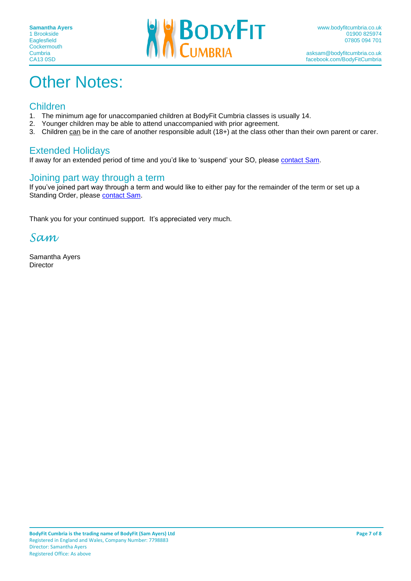

# **Other Notes:**

#### Children

- 1. The minimum age for unaccompanied children at BodyFit Cumbria classes is usually 14.
- 2. Younger children may be able to attend unaccompanied with prior agreement.<br>3. Children can be in the care of another responsible adult (18+) at the class othe
- Children can be in the care of another responsible adult (18+) at the class other than their own parent or carer.

#### Extended Holidays

If away for an extended period of time and you'd like to 'suspend' your SO, please [contact Sam.](mailto:asksam@bodyfitcumbria.co.uk?subject=Suspend%20Payment%20due%20to%20Extended%20Holidays)

#### Joining part way through a term

If you've joined part way through a term and would like to either pay for the remainder of the term or set up a Standing Order, please [contact Sam.](mailto:asksam@bodyfitcumbria.co.uk?subject=Paying%20for%20remainder%20of%20term)

Thank you for your continued support. It's appreciated very much.

*Sam*

Samantha Ayers **Director**